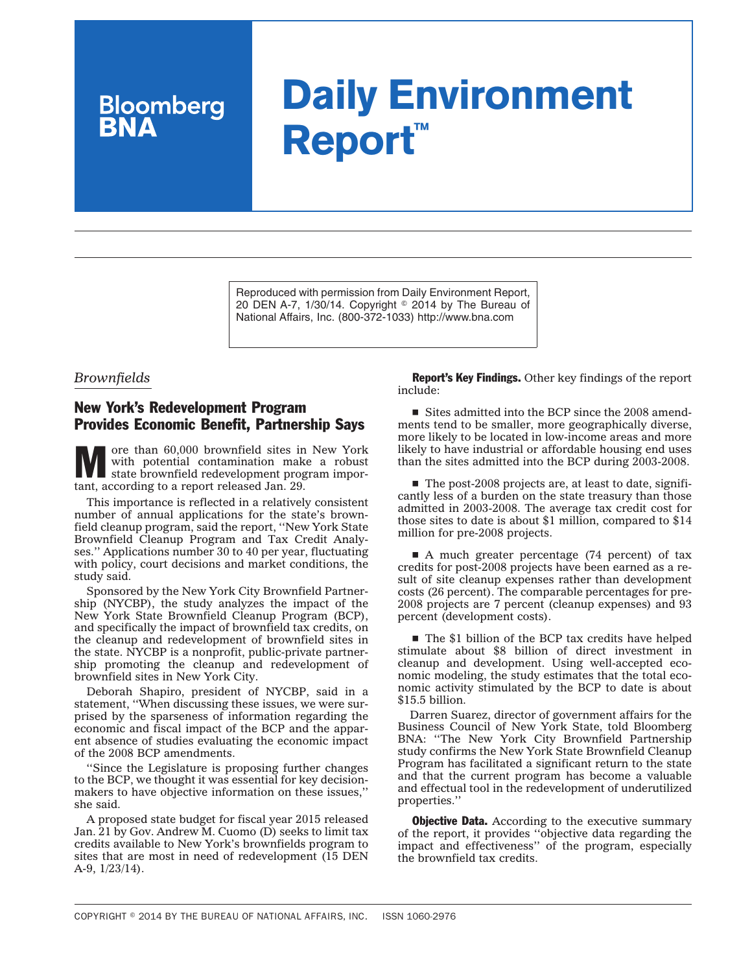## **Daily Environment Report™**

Reproduced with permission from Daily Environment Report, 20 DEN A-7, 1/30/14. Copyright © 2014 by The Bureau of National Affairs, Inc. (800-372-1033) http://www.bna.com

## *Brownfields*

**Bloomberg**<br>**RNA** 

## New York's Redevelopment Program Provides Economic Benefit, Partnership Says

We over than 60,000 brownfield sites in New York<br>
state brownfield redevelopment program impor-<br>
that exercise to a new York and the contract of the contract of the contract of the contract of the contract of the contract with potential contamination make a robust tant, according to a [report](http://op.bna.com/env.nsf/r?Open=rlen-9ftugy) released Jan. 29.

This importance is reflected in a relatively consistent number of annual applications for the state's brownfield cleanup program, said the report, ''New York State Brownfield Cleanup Program and Tax Credit Analyses.'' Applications number 30 to 40 per year, fluctuating with policy, court decisions and market conditions, the study said.

Sponsored by the New York City Brownfield Partnership (NYCBP), the study analyzes the impact of the New York State Brownfield Cleanup Program (BCP), and specifically the impact of brownfield tax credits, on the cleanup and redevelopment of brownfield sites in the state. NYCBP is a nonprofit, public-private partnership promoting the cleanup and redevelopment of brownfield sites in New York City.

Deborah Shapiro, president of NYCBP, said in a statement, ''When discussing these issues, we were surprised by the sparseness of information regarding the economic and fiscal impact of the BCP and the apparent absence of studies evaluating the economic impact of the 2008 BCP amendments.

''Since the Legislature is proposing further changes to the BCP, we thought it was essential for key decisionmakers to have objective information on these issues,'' she said.

A proposed state budget for fiscal year 2015 released Jan. 21 by Gov. Andrew M. Cuomo (D) seeks to limit tax credits available to New York's brownfields program to sites that are most in need of redevelopment (15 DEN A-9, 1/23/14).

Report's Key Findings. Other key findings of the report include:

 $\blacksquare$  Sites admitted into the BCP since the 2008 amendments tend to be smaller, more geographically diverse, more likely to be located in low-income areas and more likely to have industrial or affordable housing end uses than the sites admitted into the BCP during 2003-2008.

 $\blacksquare$  The post-2008 projects are, at least to date, significantly less of a burden on the state treasury than those admitted in 2003-2008. The average tax credit cost for those sites to date is about \$1 million, compared to \$14 million for pre-2008 projects.

 $\blacksquare$  A much greater percentage (74 percent) of tax credits for post-2008 projects have been earned as a result of site cleanup expenses rather than development costs (26 percent). The comparable percentages for pre-2008 projects are 7 percent (cleanup expenses) and 93 percent (development costs).

 $\blacksquare$  The \$1 billion of the BCP tax credits have helped stimulate about \$8 billion of direct investment in cleanup and development. Using well-accepted economic modeling, the study estimates that the total economic activity stimulated by the BCP to date is about \$15.5 billion.

Darren Suarez, director of government affairs for the Business Council of New York State, told Bloomberg BNA: ''The New York City Brownfield Partnership study confirms the New York State Brownfield Cleanup Program has facilitated a significant return to the state and that the current program has become a valuable and effectual tool in the redevelopment of underutilized properties.''

**Objective Data.** According to the executive summary of the report, it provides ''objective data regarding the impact and effectiveness'' of the program, especially the brownfield tax credits.